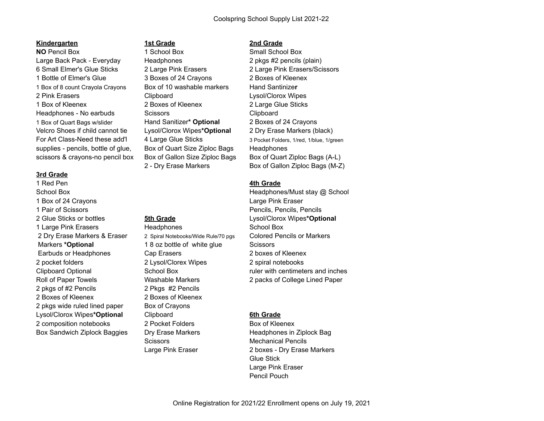## **Kindergarten 1st Grade 2nd Grade**

**NO** Pencil Box **1 School Box** 3 Small School Box 3 Small School Box Large Back Pack - Everyday Headphones 2 pkgs #2 pencils (plain) 6 Small Elmer's Glue Sticks 2 Large Pink Erasers 2 Large Pink Erasers/Scissors 1 Bottle of Elmer's Glue 3 Boxes of 24 Crayons 2 Boxes of Kleenex 1 Box of 8 count Crayola Crayons Box of 10 washable markers Hand Santinize**r** 2 Pink Erasers **Clipboard** Clipboard Lysol/Clorox Wipes 1 Box of Kleenex 2 Boxes of Kleenex 2 Large Glue Sticks Headphones - No earbuds Scissors Clipboard 1 Box of Quart Bags w/slider Hand Sanitizer**\* Optional** 2 Boxes of 24 Crayons Velcro Shoes if child cannot tie Lysol/Clorox Wipes**\*Optional** 2 Dry Erase Markers (black) supplies - pencils, bottle of glue, Box of Quart Size Ziploc Bags Headphones

# **3rd Grade**

1 Red Pen **4th Grade** 1 Box of 24 Crayons **Large Pink Eraser** Large Pink Eraser 1 Pair of Scissors Pencils, Pencils, Pencils 2 Glue Sticks or bottles **5th Grade** Lysol/Clorox Wipes**\*Optional** 1 Large Pink Erasers **Franklin** Headphones **School Box**  2 Dry Erase Markers & Eraser 2 Spiral Notebooks/Wide Rule/70 pgs Colored Pencils or Markers Markers **\*Optional** 1 8 oz bottle of white glue Scissors Earbuds or Headphones Cap Erasers 2 boxes of Kleenex 2 pocket folders 2 Lysol/Clorex Wipes 2 spiral notebooks 2 pkgs of #2 Pencils 2 Pkgs #2 Pencils 2 Boxes of Kleenex 2 Boxes of Kleenex 2 pkgs wide ruled lined paper Box of Crayons Lysol/Clorox Wipes**\*Optional** Clipboard **6th Grade** 2 composition notebooks 2 Pocket Folders Box of Kleenex Box Sandwich Ziplock Baggies Dry Erase Markers **Headphones in Ziplock Bag** 

For Art Class-Need these add'l 4 Large Glue Sticks 3 Pocket Folders, 1/red, 1/blue, 1/green scissors & crayons-no pencil box Box of Gallon Size Ziploc Bags Box of Quart Ziploc Bags (A-L) 2 - Dry Erase Markers Box of Gallon Ziploc Bags (M-Z)

School Box **Exercise School Box** Headphones/Must stay @ School Clipboard Optional School Box ruler with centimeters and inches Roll of Paper Towels Washable Markers 2 packs of College Lined Paper

Scissors Mechanical Pencils Large Pink Eraser 2 boxes - Dry Erase Markers Glue Stick Large Pink Eraser Pencil Pouch